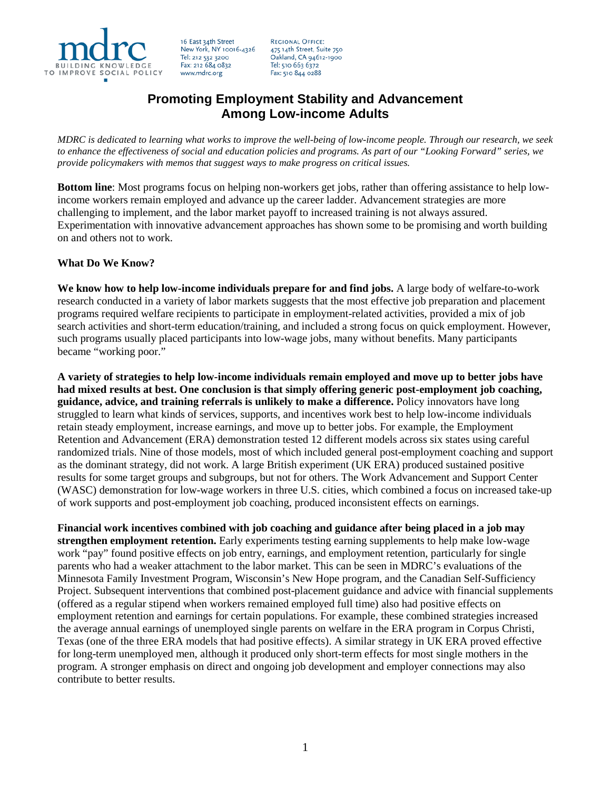

16 East 34th Street New York, NY 10016-4326 Tel: 212 532 3200 Fax: 212 684 0832 www.mdrc.org

**REGIONAL OFFICE:** 475 14th Street, Suite 750 Oakland, CA 94612-1900 Tel: 510 663 6372 Fax: 510 844 0288

## **Promoting Employment Stability and Advancement Among Low-income Adults**

*MDRC is dedicated to learning what works to improve the well-being of low-income people. Through our research, we seek to enhance the effectiveness of social and education policies and programs. As part of our "Looking Forward" series, we provide policymakers with memos that suggest ways to make progress on critical issues.*

**Bottom line**: Most programs focus on helping non-workers get jobs, rather than offering assistance to help lowincome workers remain employed and advance up the career ladder. Advancement strategies are more challenging to implement, and the labor market payoff to increased training is not always assured. Experimentation with innovative advancement approaches has shown some to be promising and worth building on and others not to work.

## **What Do We Know?**

**We know how to help low-income individuals prepare for and find jobs.** A large body of welfare-to-work research conducted in a variety of labor markets suggests that the most effective job preparation and placement programs required welfare recipients to participate in employment-related activities, provided a mix of job search activities and short-term education/training, and included a strong focus on quick employment. However, such programs usually placed participants into low-wage jobs, many without benefits. Many participants became "working poor."

**A variety of strategies to help low-income individuals remain employed and move up to better jobs have had mixed results at best. One conclusion is that simply offering generic post-employment job coaching, guidance, advice, and training referrals is unlikely to make a difference.** Policy innovators have long struggled to learn what kinds of services, supports, and incentives work best to help low-income individuals retain steady employment, increase earnings, and move up to better jobs. For example, the Employment Retention and Advancement (ERA) demonstration tested 12 different models across six states using careful randomized trials. Nine of those models, most of which included general post-employment coaching and support as the dominant strategy, did not work. A large British experiment (UK ERA) produced sustained positive results for some target groups and subgroups, but not for others. The Work Advancement and Support Center (WASC) demonstration for low-wage workers in three U.S. cities, which combined a focus on increased take-up of work supports and post-employment job coaching, produced inconsistent effects on earnings.

**Financial work incentives combined with job coaching and guidance after being placed in a job may strengthen employment retention.** Early experiments testing earning supplements to help make low-wage work "pay" found positive effects on job entry, earnings, and employment retention, particularly for single parents who had a weaker attachment to the labor market. This can be seen in MDRC's evaluations of the Minnesota Family Investment Program, Wisconsin's New Hope program, and the Canadian Self-Sufficiency Project. Subsequent interventions that combined post-placement guidance and advice with financial supplements (offered as a regular stipend when workers remained employed full time) also had positive effects on employment retention and earnings for certain populations. For example, these combined strategies increased the average annual earnings of unemployed single parents on welfare in the ERA program in Corpus Christi, Texas (one of the three ERA models that had positive effects). A similar strategy in UK ERA proved effective for long-term unemployed men, although it produced only short-term effects for most single mothers in the program. A stronger emphasis on direct and ongoing job development and employer connections may also contribute to better results.